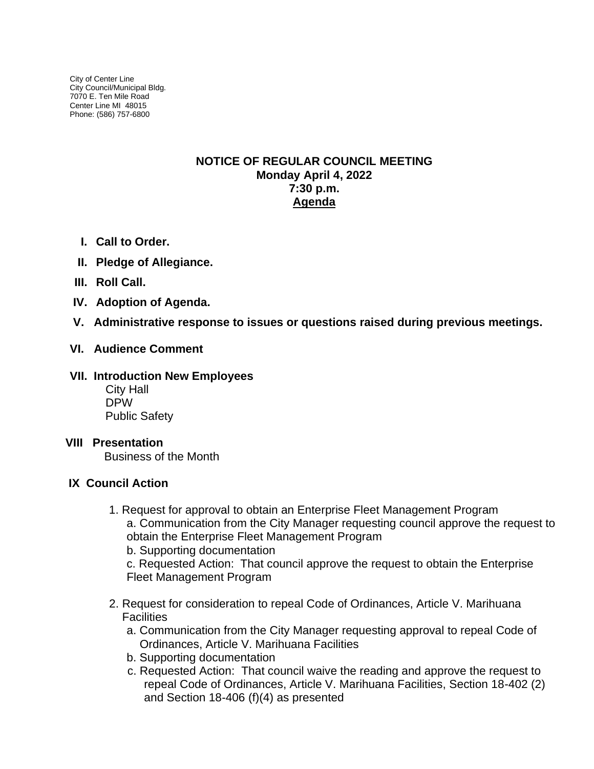City of Center Line City Council/Municipal Bldg. 7070 E. Ten Mile Road Center Line MI 48015 Phone: (586) 757-6800

# **NOTICE OF REGULAR COUNCIL MEETING Monday April 4, 2022 7:30 p.m. Agenda**

- **I. Call to Order.**
- **II. Pledge of Allegiance.**
- **III. Roll Call.**
- **IV. Adoption of Agenda.**
- **V. Administrative response to issues or questions raised during previous meetings.**

# **VI. Audience Comment**

## **VII. Introduction New Employees**

City Hall DPW Public Safety

### **VIII Presentation**

Business of the Month

# **IX Council Action**

- 1. Request for approval to obtain an Enterprise Fleet Management Program a. Communication from the City Manager requesting council approve the request to obtain the Enterprise Fleet Management Program
	- b. Supporting documentation

c. Requested Action: That council approve the request to obtain the Enterprise Fleet Management Program

- 2. Request for consideration to repeal Code of Ordinances, Article V. Marihuana **Facilities** 
	- a. Communication from the City Manager requesting approval to repeal Code of Ordinances, Article V. Marihuana Facilities
	- b. Supporting documentation
	- c. Requested Action: That council waive the reading and approve the request to repeal Code of Ordinances, Article V. Marihuana Facilities, Section 18-402 (2) and Section 18-406 (f)(4) as presented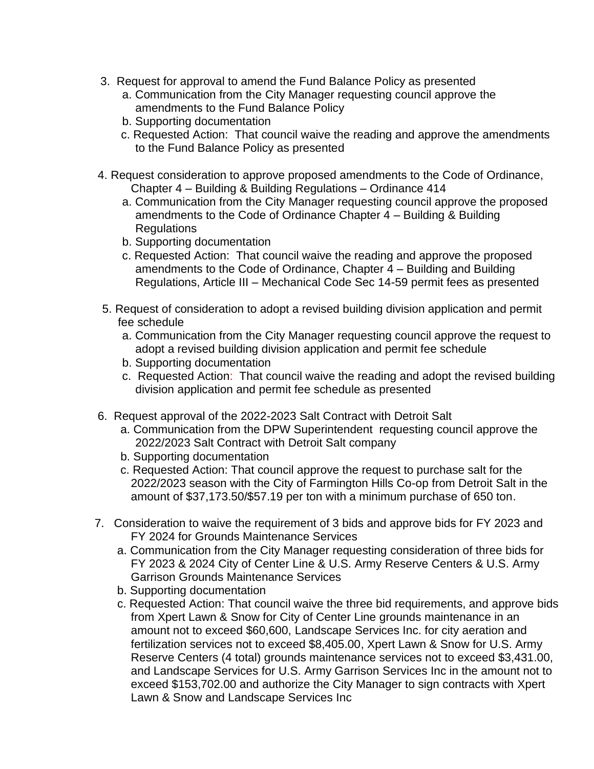- 3. Request for approval to amend the Fund Balance Policy as presented
	- a. Communication from the City Manager requesting council approve the amendments to the Fund Balance Policy
	- b. Supporting documentation
	- c. Requested Action: That council waive the reading and approve the amendments to the Fund Balance Policy as presented
- 4. Request consideration to approve proposed amendments to the Code of Ordinance, Chapter 4 – Building & Building Regulations – Ordinance 414
	- a. Communication from the City Manager requesting council approve the proposed amendments to the Code of Ordinance Chapter 4 – Building & Building Regulations
	- b. Supporting documentation
	- c. Requested Action: That council waive the reading and approve the proposed amendments to the Code of Ordinance, Chapter 4 – Building and Building Regulations, Article III – Mechanical Code Sec 14-59 permit fees as presented
- 5. Request of consideration to adopt a revised building division application and permit fee schedule
	- a. Communication from the City Manager requesting council approve the request to adopt a revised building division application and permit fee schedule
	- b. Supporting documentation
	- c. Requested Action: That council waive the reading and adopt the revised building division application and permit fee schedule as presented
- 6. Request approval of the 2022-2023 Salt Contract with Detroit Salt
	- a. Communication from the DPW Superintendent requesting council approve the 2022/2023 Salt Contract with Detroit Salt company
	- b. Supporting documentation
	- c. Requested Action: That council approve the request to purchase salt for the 2022/2023 season with the City of Farmington Hills Co-op from Detroit Salt in the amount of \$37,173.50/\$57.19 per ton with a minimum purchase of 650 ton.
- 7. Consideration to waive the requirement of 3 bids and approve bids for FY 2023 and FY 2024 for Grounds Maintenance Services
	- a. Communication from the City Manager requesting consideration of three bids for FY 2023 & 2024 City of Center Line & U.S. Army Reserve Centers & U.S. Army Garrison Grounds Maintenance Services
	- b. Supporting documentation
	- c. Requested Action: That council waive the three bid requirements, and approve bids from Xpert Lawn & Snow for City of Center Line grounds maintenance in an amount not to exceed \$60,600, Landscape Services Inc. for city aeration and fertilization services not to exceed \$8,405.00, Xpert Lawn & Snow for U.S. Army Reserve Centers (4 total) grounds maintenance services not to exceed \$3,431.00, and Landscape Services for U.S. Army Garrison Services Inc in the amount not to exceed \$153,702.00 and authorize the City Manager to sign contracts with Xpert Lawn & Snow and Landscape Services Inc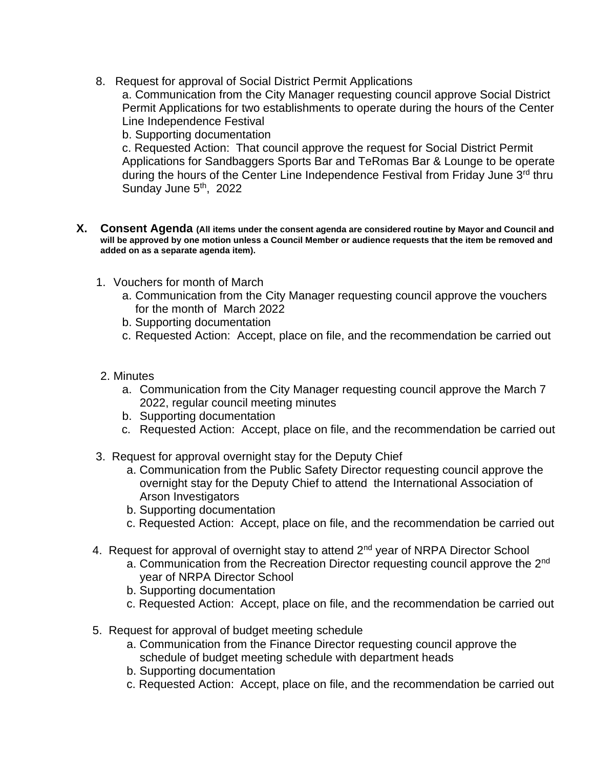8. Request for approval of Social District Permit Applications

a. Communication from the City Manager requesting council approve Social District Permit Applications for two establishments to operate during the hours of the Center Line Independence Festival

b. Supporting documentation

c. Requested Action: That council approve the request for Social District Permit Applications for Sandbaggers Sports Bar and TeRomas Bar & Lounge to be operate during the hours of the Center Line Independence Festival from Friday June 3<sup>rd</sup> thru Sunday June 5<sup>th</sup>, 2022

- **X. Consent Agenda (All items under the consent agenda are considered routine by Mayor and Council and will be approved by one motion unless a Council Member or audience requests that the item be removed and added on as a separate agenda item).**
	- 1. Vouchers for month of March
		- a. Communication from the City Manager requesting council approve the vouchers for the month of March 2022
		- b. Supporting documentation
		- c. Requested Action: Accept, place on file, and the recommendation be carried out
	- 2. Minutes
		- a. Communication from the City Manager requesting council approve the March 7 2022, regular council meeting minutes
		- b. Supporting documentation
		- c. Requested Action: Accept, place on file, and the recommendation be carried out
	- 3. Request for approval overnight stay for the Deputy Chief
		- a. Communication from the Public Safety Director requesting council approve the overnight stay for the Deputy Chief to attend the International Association of Arson Investigators
		- b. Supporting documentation
		- c. Requested Action: Accept, place on file, and the recommendation be carried out
	- 4. Request for approval of overnight stay to attend 2<sup>nd</sup> year of NRPA Director School
		- a. Communication from the Recreation Director requesting council approve the 2<sup>nd</sup> year of NRPA Director School
		- b. Supporting documentation
		- c. Requested Action: Accept, place on file, and the recommendation be carried out
	- 5. Request for approval of budget meeting schedule
		- a. Communication from the Finance Director requesting council approve the schedule of budget meeting schedule with department heads
		- b. Supporting documentation
		- c. Requested Action: Accept, place on file, and the recommendation be carried out